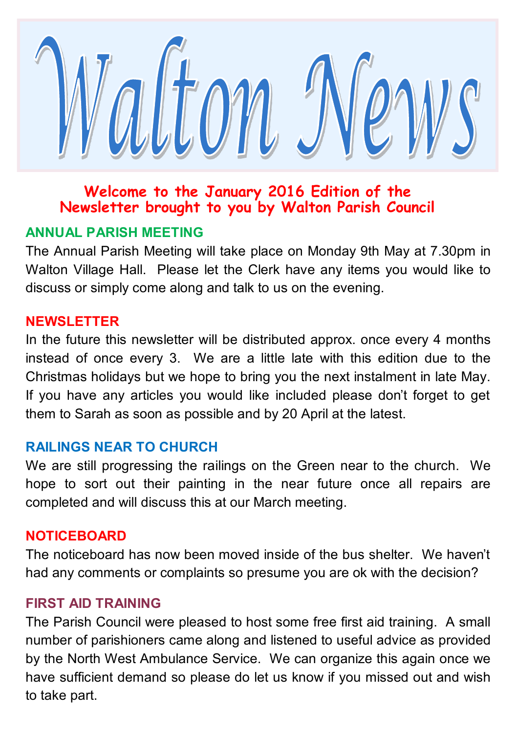

## **Welcome to the January 2016 Edition of the Newsletter brought to you by Walton Parish Council**

## **ANNUAL PARISH MEETING**

The Annual Parish Meeting will take place on Monday 9th May at 7.30pm in Walton Village Hall. Please let the Clerk have any items you would like to discuss or simply come along and talk to us on the evening.

#### **NEWSLETTER**

In the future this newsletter will be distributed approx. once every 4 months instead of once every 3. We are a little late with this edition due to the Christmas holidays but we hope to bring you the next instalment in late May. If you have any articles you would like included please don't forget to get them to Sarah as soon as possible and by 20 April at the latest.

#### **RAILINGS NEAR TO CHURCH**

We are still progressing the railings on the Green near to the church. We hope to sort out their painting in the near future once all repairs are completed and will discuss this at our March meeting.

#### **NOTICEBOARD**

The noticeboard has now been moved inside of the bus shelter. We haven't had any comments or complaints so presume you are ok with the decision?

#### **FIRST AID TRAINING**

The Parish Council were pleased to host some free first aid training. A small number of parishioners came along and listened to useful advice as provided by the North West Ambulance Service. We can organize this again once we have sufficient demand so please do let us know if you missed out and wish to take part.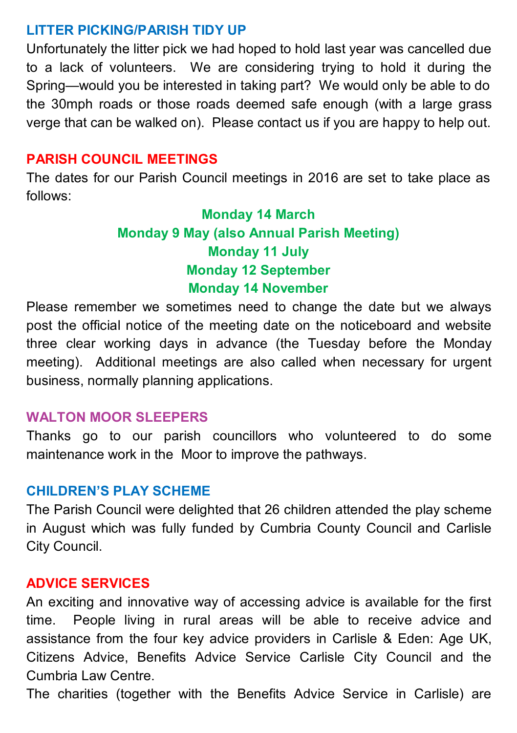#### **LITTER PICKING/PARISH TIDY UP**

Unfortunately the litter pick we had hoped to hold last year was cancelled due to a lack of volunteers. We are considering trying to hold it during the Spring—would you be interested in taking part? We would only be able to do the 30mph roads or those roads deemed safe enough (with a large grass verge that can be walked on). Please contact us if you are happy to help out.

## **PARISH COUNCIL MEETINGS**

The dates for our Parish Council meetings in 2016 are set to take place as follows:

# **Monday 14 March Monday 9 May (also Annual Parish Meeting) Monday 11 July Monday 12 September Monday 14 November**

Please remember we sometimes need to change the date but we always post the official notice of the meeting date on the noticeboard and website three clear working days in advance (the Tuesday before the Monday meeting). Additional meetings are also called when necessary for urgent business, normally planning applications.

#### **WALTON MOOR SLEEPERS**

Thanks go to our parish councillors who volunteered to do some maintenance work in the Moor to improve the pathways.

#### **CHILDREN'S PLAY SCHEME**

The Parish Council were delighted that 26 children attended the play scheme in August which was fully funded by Cumbria County Council and Carlisle City Council.

#### **ADVICE SERVICES**

An exciting and innovative way of accessing advice is available for the first time. People living in rural areas will be able to receive advice and assistance from the four key advice providers in Carlisle & Eden: Age UK, Citizens Advice, Benefits Advice Service Carlisle City Council and the Cumbria Law Centre.

The charities (together with the Benefits Advice Service in Carlisle) are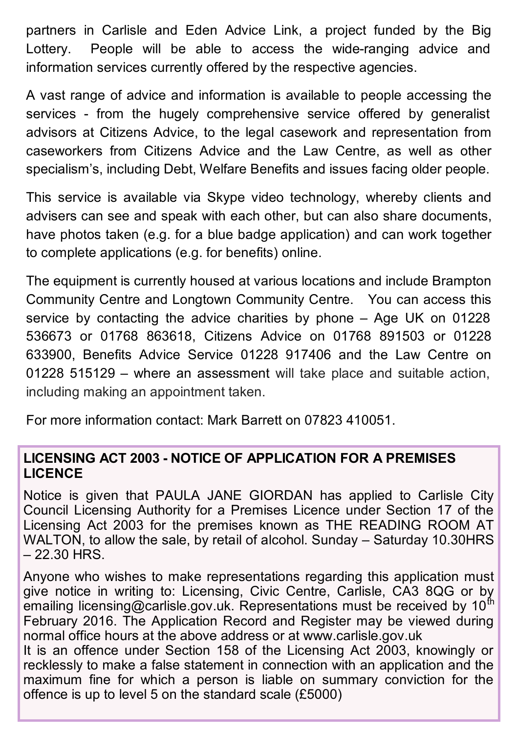partners in Carlisle and Eden Advice Link, a project funded by the Big Lottery. People will be able to access the wide-ranging advice and information services currently offered by the respective agencies.

A vast range of advice and information is available to people accessing the services - from the hugely comprehensive service offered by generalist advisors at Citizens Advice, to the legal casework and representation from caseworkers from Citizens Advice and the Law Centre, as well as other specialism's, including Debt, Welfare Benefits and issues facing older people.

This service is available via Skype video technology, whereby clients and advisers can see and speak with each other, but can also share documents, have photos taken (e.g. for a blue badge application) and can work together to complete applications (e.g. for benefits) online.

The equipment is currently housed at various locations and include Brampton Community Centre and Longtown Community Centre. You can access this service by contacting the advice charities by phone – Age UK on 01228 536673 or 01768 863618, Citizens Advice on 01768 891503 or 01228 633900, Benefits Advice Service 01228 917406 and the Law Centre on 01228 515129 – where an assessment will take place and suitable action, including making an appointment taken.

For more information contact: Mark Barrett on 07823 410051.

### **LICENSING ACT 2003 - NOTICE OF APPLICATION FOR A PREMISES LICENCE**

Notice is given that PAULA JANE GIORDAN has applied to Carlisle City Council Licensing Authority for a Premises Licence under Section 17 of the Licensing Act 2003 for the premises known as THE READING ROOM AT WALTON, to allow the sale, by retail of alcohol. Sunday – Saturday 10.30HRS – 22.30 HRS.

Anyone who wishes to make representations regarding this application must give notice in writing to: Licensing, Civic Centre, Carlisle, CA3 8QG or by emailing licensing@carlisle.gov.uk. Representations must be received by  $10^{th}$ February 2016. The Application Record and Register may be viewed during normal office hours at the above address or at www.carlisle.gov.uk

It is an offence under Section 158 of the Licensing Act 2003, knowingly or recklessly to make a false statement in connection with an application and the maximum fine for which a person is liable on summary conviction for the offence is up to level 5 on the standard scale (£5000)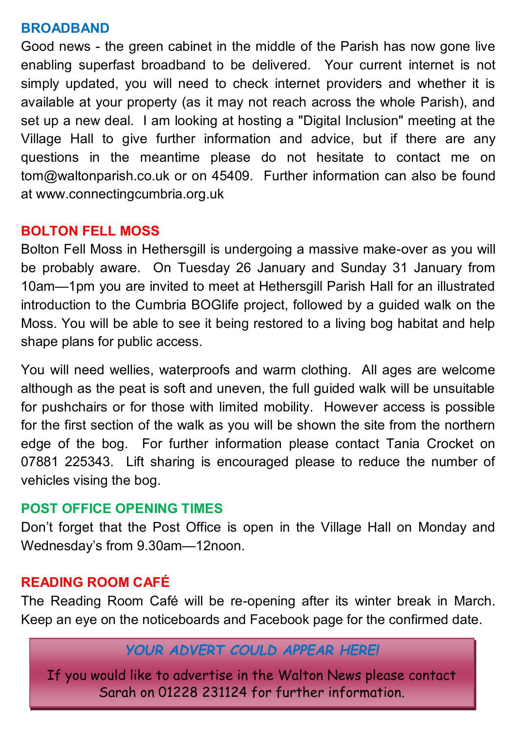### **BROADBAND**

Good news - the green cabinet in the middle of the Parish has now gone live enabling superfast broadband to be delivered. Your current internet is not simply updated, you will need to check internet providers and whether it is available at your property (as it may not reach across the whole Parish), and set up a new deal. I am looking at hosting a "Digital Inclusion" meeting at the Village Hall to give further information and advice, but if there are any questions in the meantime please do not hesitate to contact me on tom@waltonparish.co.uk or on 45409. Further information can also be found at www.connectingcumbria.org.uk

### **BOLTON FELL MOSS**

Bolton Fell Moss in Hethersgill is undergoing a massive make-over as you will be probably aware. On Tuesday 26 January and Sunday 31 January from 10am—1pm you are invited to meet at Hethersgill Parish Hall for an illustrated introduction to the Cumbria BOGlife project, followed by a guided walk on the Moss. You will be able to see it being restored to a living bog habitat and help shape plans for public access.

You will need wellies, waterproofs and warm clothing. All ages are welcome although as the peat is soft and uneven, the full guided walk will be unsuitable for pushchairs or for those with limited mobility. However access is possible for the first section of the walk as you will be shown the site from the northern edge of the bog. For further information please contact Tania Crocket on 07881 225343. Lift sharing is encouraged please to reduce the number of vehicles vising the bog.

#### **POST OFFICE OPENING TIMES**

Don't forget that the Post Office is open in the Village Hall on Monday and Wednesday's from 9.30am—12noon.

## **READING ROOM CAFÉ**

The Reading Room Café will be re-opening after its winter break in March. Keep an eye on the noticeboards and Facebook page for the confirmed date.

## *YOUR ADVERT COULD APPEAR HERE!*

If you would like to advertise in the Walton News please contact Sarah on 01228 231124 for further information.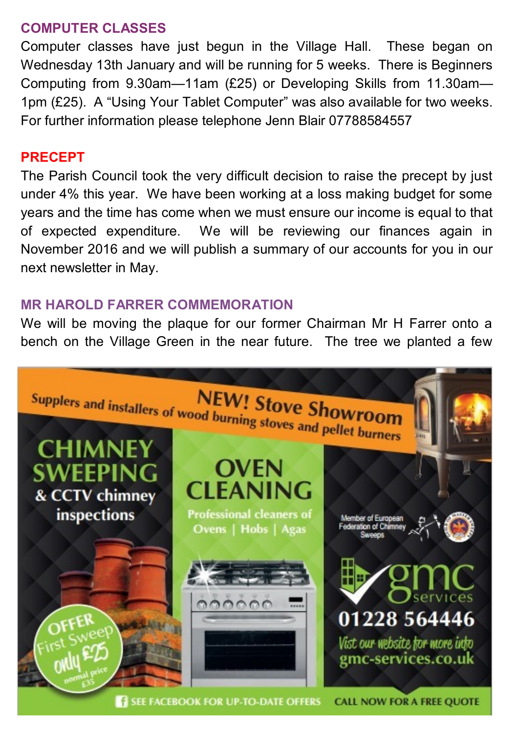#### **COMPUTER CLASSES**

Computer classes have just begun in the Village Hall. These began on Wednesday 13th January and will be running for 5 weeks. There is Beginners Computing from 9.30am—11am (£25) or Developing Skills from 11.30am— 1pm (£25). A "Using Your Tablet Computer" was also available for two weeks. For further information please telephone Jenn Blair 07788584557

#### **PRECEPT**

The Parish Council took the very difficult decision to raise the precept by just under 4% this year. We have been working at a loss making budget for some years and the time has come when we must ensure our income is equal to that of expected expenditure. We will be reviewing our finances again in November 2016 and we will publish a summary of our accounts for you in our next newsletter in May.

#### **MR HAROLD FARRER COMMEMORATION**

We will be moving the plaque for our former Chairman Mr H Farrer onto a bench on the Village Green in the near future. The tree we planted a few

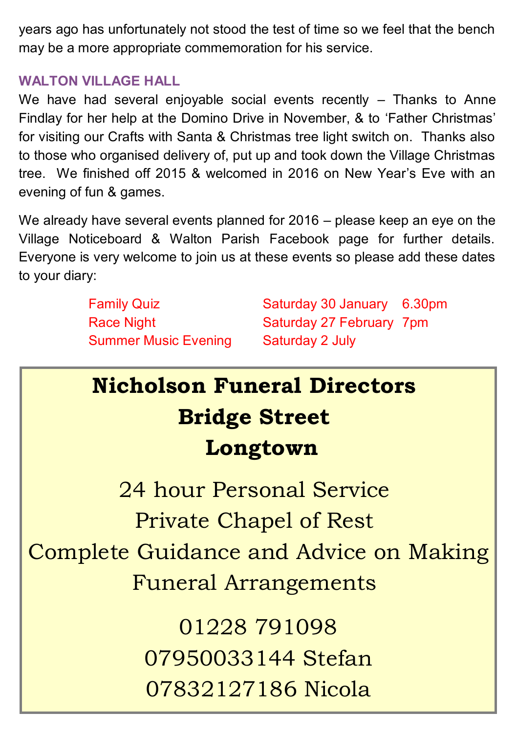years ago has unfortunately not stood the test of time so we feel that the bench may be a more appropriate commemoration for his service.

## **WALTON VILLAGE HALL**

We have had several enjoyable social events recently - Thanks to Anne Findlay for her help at the Domino Drive in November, & to 'Father Christmas' for visiting our Crafts with Santa & Christmas tree light switch on. Thanks also to those who organised delivery of, put up and took down the Village Christmas tree. We finished off 2015 & welcomed in 2016 on New Year's Eve with an evening of fun & games.

We already have several events planned for 2016 – please keep an eye on the Village Noticeboard & Walton Parish Facebook page for further details. Everyone is very welcome to join us at these events so please add these dates to your diary:

Summer Music Evening Saturday 2 July

Family Quiz **Saturday 30 January 6.30pm** Race Night Saturday 27 February 7pm

# **Nicholson Funeral Directors Bridge Street Longtown**

24 hour Personal Service Private Chapel of Rest Complete Guidance and Advice on Making Funeral Arrangements

> 01228 791098 07950033144 Stefan 07832127186 Nicola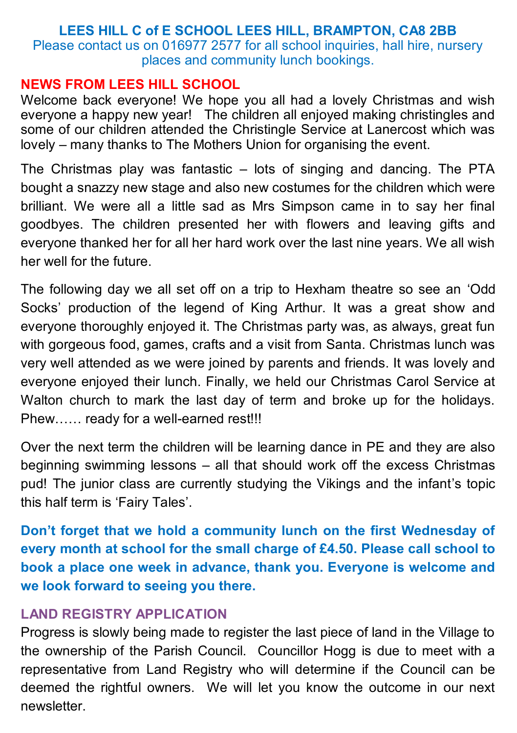#### **LEES HILL C of E SCHOOL LEES HILL, BRAMPTON, CA8 2BB**  Please contact us on 016977 2577 for all school inquiries, hall hire, nursery places and community lunch bookings.

#### **NEWS FROM LEES HILL SCHOOL**

Welcome back everyone! We hope you all had a lovely Christmas and wish everyone a happy new year! The children all enjoyed making christingles and some of our children attended the Christingle Service at Lanercost which was lovely – many thanks to The Mothers Union for organising the event.

The Christmas play was fantastic – lots of singing and dancing. The PTA bought a snazzy new stage and also new costumes for the children which were brilliant. We were all a little sad as Mrs Simpson came in to say her final goodbyes. The children presented her with flowers and leaving gifts and everyone thanked her for all her hard work over the last nine years. We all wish her well for the future.

The following day we all set off on a trip to Hexham theatre so see an 'Odd Socks' production of the legend of King Arthur. It was a great show and everyone thoroughly enjoyed it. The Christmas party was, as always, great fun with gorgeous food, games, crafts and a visit from Santa. Christmas lunch was very well attended as we were joined by parents and friends. It was lovely and everyone enjoyed their lunch. Finally, we held our Christmas Carol Service at Walton church to mark the last day of term and broke up for the holidays. Phew…… ready for a well-earned rest!!!

Over the next term the children will be learning dance in PE and they are also beginning swimming lessons – all that should work off the excess Christmas pud! The junior class are currently studying the Vikings and the infant's topic this half term is 'Fairy Tales'.

**Don't forget that we hold a community lunch on the first Wednesday of every month at school for the small charge of £4.50. Please call school to book a place one week in advance, thank you. Everyone is welcome and we look forward to seeing you there.** 

## **LAND REGISTRY APPLICATION**

Progress is slowly being made to register the last piece of land in the Village to the ownership of the Parish Council. Councillor Hogg is due to meet with a representative from Land Registry who will determine if the Council can be deemed the rightful owners. We will let you know the outcome in our next newsletter.